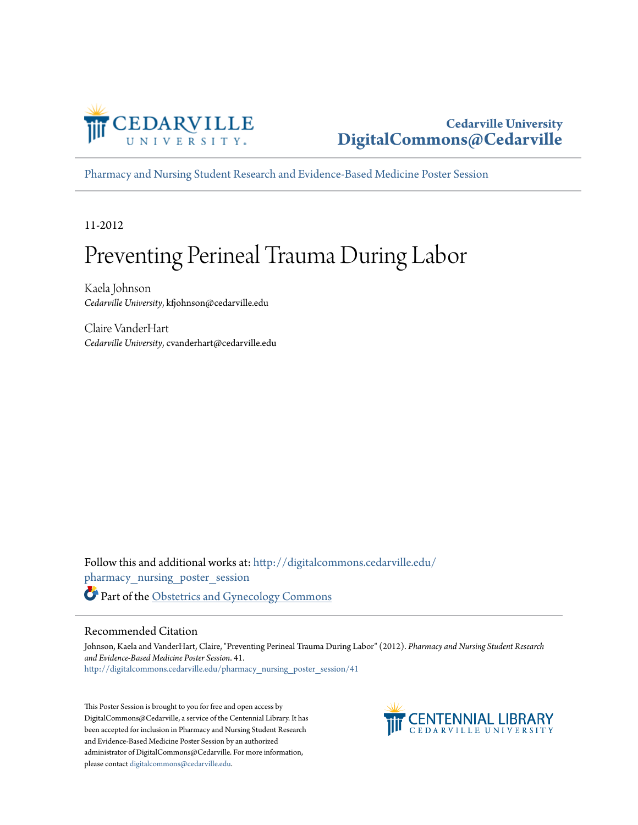

#### **Cedarville University [DigitalCommons@Cedarville](http://digitalcommons.cedarville.edu?utm_source=digitalcommons.cedarville.edu%2Fpharmacy_nursing_poster_session%2F41&utm_medium=PDF&utm_campaign=PDFCoverPages)**

[Pharmacy and Nursing Student Research and Evidence-Based Medicine Poster Session](http://digitalcommons.cedarville.edu/pharmacy_nursing_poster_session?utm_source=digitalcommons.cedarville.edu%2Fpharmacy_nursing_poster_session%2F41&utm_medium=PDF&utm_campaign=PDFCoverPages)

11-2012

#### Preventing Perineal Trauma During Labor

Kaela Johnson *Cedarville University*, kfjohnson@cedarville.edu

Claire VanderHart *Cedarville University*, cvanderhart@cedarville.edu

Follow this and additional works at: [http://digitalcommons.cedarville.edu/](http://digitalcommons.cedarville.edu/pharmacy_nursing_poster_session?utm_source=digitalcommons.cedarville.edu%2Fpharmacy_nursing_poster_session%2F41&utm_medium=PDF&utm_campaign=PDFCoverPages) [pharmacy\\_nursing\\_poster\\_session](http://digitalcommons.cedarville.edu/pharmacy_nursing_poster_session?utm_source=digitalcommons.cedarville.edu%2Fpharmacy_nursing_poster_session%2F41&utm_medium=PDF&utm_campaign=PDFCoverPages) Part of the [Obstetrics and Gynecology Commons](http://network.bepress.com/hgg/discipline/693?utm_source=digitalcommons.cedarville.edu%2Fpharmacy_nursing_poster_session%2F41&utm_medium=PDF&utm_campaign=PDFCoverPages)

#### Recommended Citation

Johnson, Kaela and VanderHart, Claire, "Preventing Perineal Trauma During Labor" (2012). *Pharmacy and Nursing Student Research and Evidence-Based Medicine Poster Session*. 41. [http://digitalcommons.cedarville.edu/pharmacy\\_nursing\\_poster\\_session/41](http://digitalcommons.cedarville.edu/pharmacy_nursing_poster_session/41?utm_source=digitalcommons.cedarville.edu%2Fpharmacy_nursing_poster_session%2F41&utm_medium=PDF&utm_campaign=PDFCoverPages)

This Poster Session is brought to you for free and open access by DigitalCommons@Cedarville, a service of the Centennial Library. It has been accepted for inclusion in Pharmacy and Nursing Student Research and Evidence-Based Medicine Poster Session by an authorized administrator of DigitalCommons@Cedarville. For more information, please contact [digitalcommons@cedarville.edu.](mailto:digitalcommons@cedarville.edu)